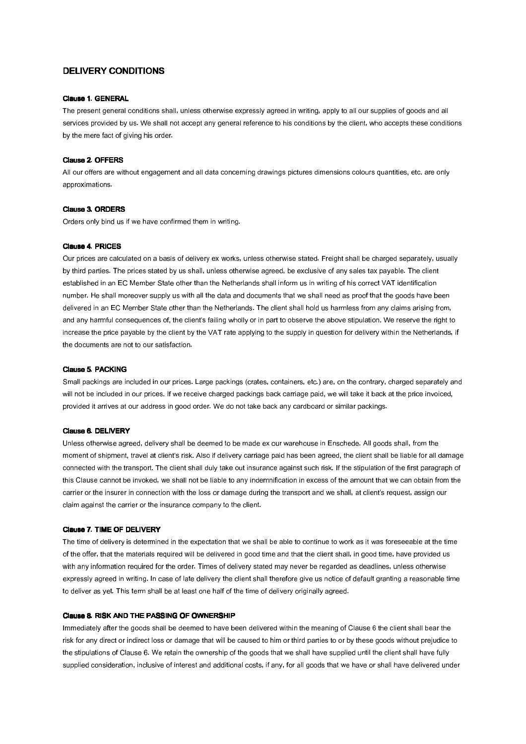# DELIVERY CONDITIONS

#### **Clause 1. GENERAL**

The present general conditions shall, unless otherwise expressly agreed in writing, apply to all our supplies of goods and all services provided by us. We shall not accept any general reference to his conditions by the client, who accepts these conditions by the mere fact of giving his order.

## Clause 2. OFFERS

All our offers are without engagement and all data concerning drawings pictures dimensions colours quantities, etc. are only approximations.

## Clause 3. ORDERS

Orders only bind us if we have confirmed them in writing.

# **Clause 4. PRICES**

Our prices are calculated on a basis of delivery ex works, unless otherwise stated. Freight shall be charged separately, usually by third parties. The prices stated by us shall, unless otherwise agreed, be exclusive of any sales tax payable. The client established in an EC Member State other than the Netherlands shall inform us in writing of his correct VAT identification number. He shall moreover supply us with all the data and documents that we shall need as proof that the goods have been delivered in an EC Member State other than the Netherlands. The client shall hold us harmless from any claims arising from, and any harmful consequences of, the client's failing wholly or in part to observe the above stipulation. We reserve the right to increase the price payable by the client by the VAT rate applying to the supply in question for delivery within the Netherlands, if the documents are not to our satisfaction.

#### Clause 5. PACKING

Small packings are included in our prices. Large packings (crates, containers, etc.) are, on the contrary, charged separately and will not be included in our prices. If we receive charged packings back carriage paid, we will take it back at the price invoiced, provided it arrives at our address in good order. We do not take back any cardboard or similar packings.

## Clause 6. DELIVERY

Unless otherwise agreed, delivery shall be deemed to be made ex our warehouse in Enschede. All goods shall, from the moment of shipment, travel at client's risk. Also if delivery carriage paid has been agreed, the client shall be liable for all damage connected with the transport. The client shall duly take out insurance against such risk. If the stipulation of the first paragraph of this Clause cannot be invoked, we shall not be liable to any indemnification in excess of the amount that we can obtain from the carrier or the insurer in connection with the loss or damage during the transport and we shall, at client's request, assign our claim against the carrier or the insurance company to the client.

#### Clause 7. TIME OF DELIVERY

The time of delivery is determined in the expectation that we shall be able to continue to work as it was foreseeable at the time of the offer, that the materials required will be delivered in good time and that the client shall, in good time, have provided us with any information required for the order. Times of delivery stated may never be regarded as deadlines, unless otherwise expressly agreed in writing. In case of late delivery the client shall therefore give us notice of default granting a reasonable time to deliver as yet. This term shall be at least one half of the time of delivery originally agreed.

## Clause 8. RISK AND THE PASSING OF OWNERSHIP

Immediately after the goods shall be deemed to have been delivered within the meaning of Clause 6 the client shall bear the risk for any direct or indirect loss or damage that will be caused to him or third parties to or by these goods without prejudice to the stipulations of Clause 6. We retain the ownership of the goods that we shall have supplied until the client shall have fully supplied consideration, inclusive of interest and additional costs, if any, for all goods that we have or shall have delivered under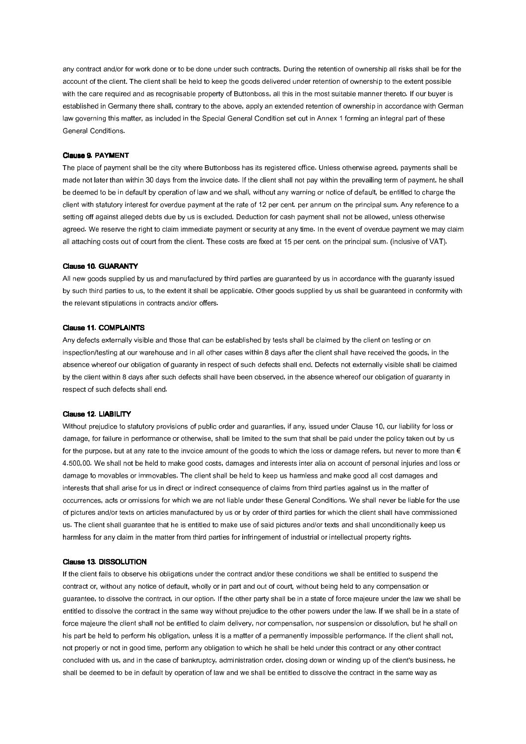any contract and/or for work done or to be done under such contracts. During the retention of ownership all risks shall be for the account of the client. The client shall be held to keep the goods delivered under retention of ownership to the extent possible with the care required and as recognisable property of Buttonboss, all this in the most suitable manner thereto. If our buyer is established in Germany there shall, contrary to the above, apply an extended retention of ownership in accordance with German law governing this matter, as included in the Special General Condition set out in Annex 1 forming an integral part of these General Conditions.

## Clause 9. PAYMENT

The place of payment shall be the city where Buttonboss has its registered office. Unless otherwise agreed, payments shall be made not later than within 30 days from the invoice date. If the client shall not pay within the prevailing term of payment, he shall be deemed to be in default by operation of law and we shall, without any warning or notice of default, be entitled to charge the client with statutory interest for overdue payment at the rate of 12 per cent. per annum on the principal sum. Any reference to a setting off against alleged debts due by us is excluded. Deduction for cash payment shall not be allowed, unless otherwise agreed. We reserve the right to claim immediate payment or security at any time. In the event of overdue payment we may claim all attaching costs out of court from the client. These costs are fixed at 15 per cent. on the principal sum. (inclusive of VAT).

#### Clause 10. GUARANTY

All new goods supplied by us and manufactured by third parties are guaranteed by us in accordance with the guaranty issued by such third parties to us, to the extent it shall be applicable. Other goods supplied by us shall be guaranteed in conformity with the relevant stipulations in contracts and/or offers.

### Clause 11. COMPLAINTS

Any defects externally visible and those that can be established by tests shall be claimed by the client on testing or on inspection/testing at our warehouse and in all other cases within 8 days after the client shall have received the goods, in the absence whereof our obligation of guaranty in respect of such defects shall end. Defects not externally visible shall be claimed by the client within 8 days after such defects shall have been observed, in the absence whereof our obligation of guaranty in respect of such defects shall end.

#### Clause 12. LIABILITY

Without prejudice to statutory provisions of public order and guaranties, if any, issued under Clause 10, our liability for loss or damage, for failure in performance or otherwise, shall be limited to the sum that shall be paid under the policy taken out by us for the purpose, but at any rate to the invoice amount of the goods to which the loss or damage refers, but never to more than  $\epsilon$ 4.500,00. We shall not be held to make good costs, damages and interests inter alia on account of personal injuries and loss or damage to movables or immovables. The client shall be held to keep us harmless and make good all cost damages and interests that shall arise for us in direct or indirect consequence of claims from third parties against us in the matter of occurrences, acts or omissions for which we are not liable under these General Conditions. We shall never be liable for the use of pictures and/or texts on articles manufactured by us or by order of third parties for which the client shall have commissioned us. The client shall guarantee that he is entitled to make use of said pictures and/or texts and shall unconditionally keep us harmless for any claim in the matter from third parties for infringement of industrial or intellectual property rights.

## **Clause 13. DISSOLUTION**

If the client fails to observe his obligations under the contract and/or these conditions we shall be entitled to suspend the contract or, without any notice of default, wholly or in part and out of court, without being held to any compensation or guarantee, to dissolve the contract, in our option. If the other party shall be in a state of force majeure under the law we shall be entitled to dissolve the contract in the same way without prejudice to the other powers under the law. If we shall be in a state of force majeure the client shall not be entitled to claim delivery, nor compensation, nor suspension or dissolution, but he shall on his part be held to perform his obligation, unless it is a matter of a permanently impossible performance. If the client shall not, not properly or not in good time, perform any obligation to which he shall be held under this contract or any other contract concluded with us, and in the case of bankruptcy, administration order, closing down or winding up of the client's business, he shall be deemed to be in default by operation of law and we shall be entitled to dissolve the contract in the same way as